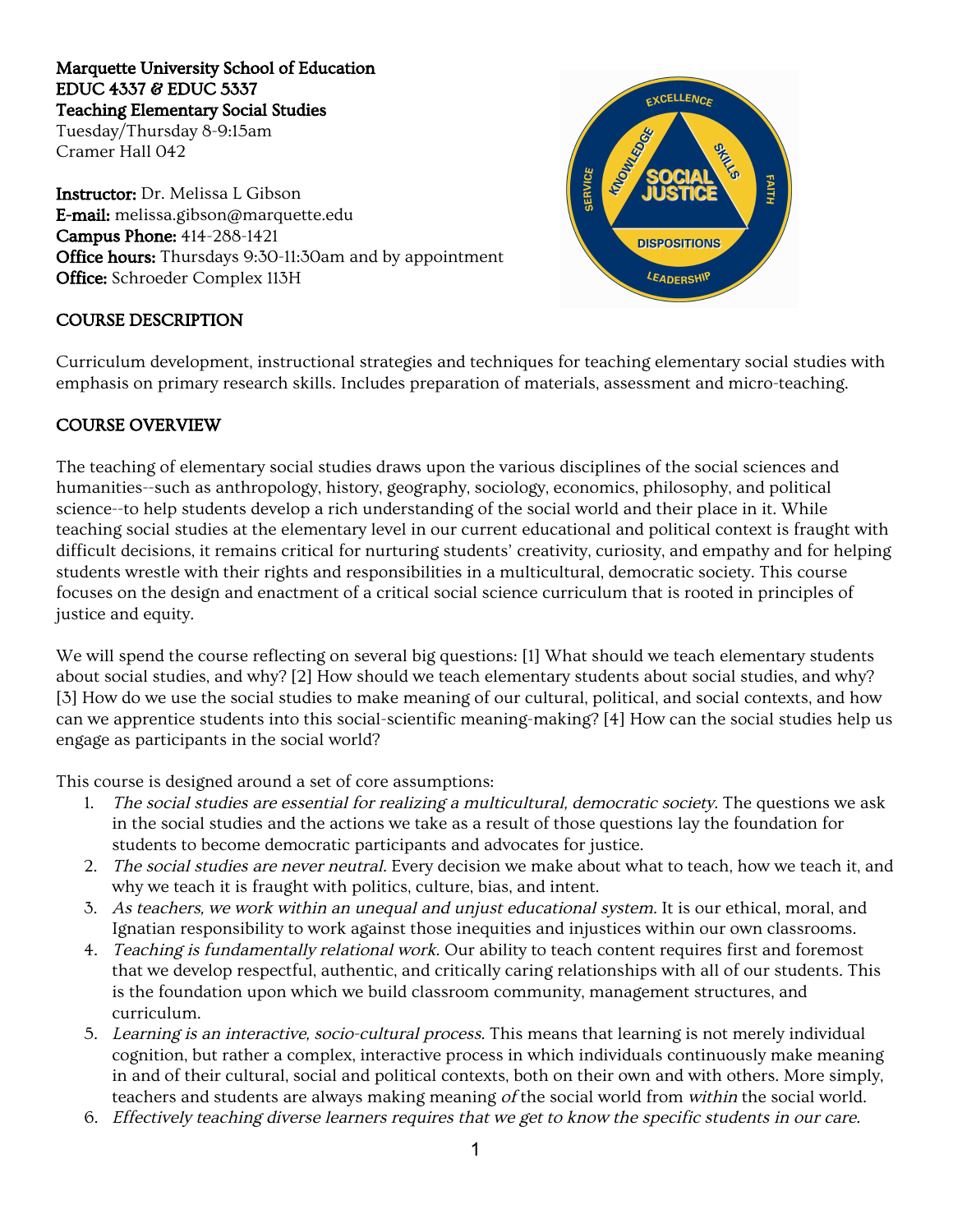#### Marquette University School of Education EDUC 4337 & EDUC 5337 Teaching Elementary Social Studies

Tuesday/Thursday 8-9:15am Cramer Hall 042

Instructor:Dr. Melissa L Gibson E-mail:melissa.gibson@marquette.edu Campus Phone:414-288-1421 Office hours: Thursdays 9:30-11:30am and by appointment Office: Schroeder Complex 113H

#### COURSE DESCRIPTION

EXCELLENCE **IMOUNTSOR SERVICE FAITH DISPOSITIONS** *LEADERSHIF* 

Curriculum development, instructional strategies and techniques for teaching elementary social studies with emphasis on primary research skills. Includes preparation of materials, assessment and micro-teaching.

#### COURSE OVERVIEW

The teaching of elementary social studies draws upon the various disciplines of the social sciences and humanities--such as anthropology, history, geography, sociology, economics, philosophy, and political science--to help students develop a rich understanding of the social world and their place in it. While teaching social studies at the elementary level in our current educational and political context is fraught with difficult decisions, it remains critical for nurturing students' creativity, curiosity, and empathy and for helping students wrestle with their rights and responsibilities in a multicultural, democratic society. This course focuses on the design and enactment of a critical social science curriculum that is rooted in principles of justice and equity.

We will spend the course reflecting on several big questions: [1] What should we teach elementary students about social studies, and why? [2] How should we teach elementary students about social studies, and why? [3] How do we use the social studies to make meaning of our cultural, political, and social contexts, and how can we apprentice students into this social-scientific meaning-making? [4] How can the social studies help us engage as participants in the social world?

This course is designed around a set of core assumptions:

- 1. The social studies are essential for realizing <sup>a</sup> multicultural, democratic society. The questions we ask in the social studies and the actions we take as a result of those questions lay the foundation for students to become democratic participants and advocates for justice.
- 2. The social studies are never neutral. Every decision we make about what to teach, how we teach it, and why we teach it is fraught with politics, culture, bias, and intent.
- 3. As teachers, we work within an unequal and unjust educational system. It is our ethical, moral, and Ignatian responsibility to work against those inequities and injustices within our own classrooms.
- 4. Teaching is fundamentally relational work. Our ability to teach content requires first and foremost that we develop respectful, authentic, and critically caring relationships with all of our students. This is the foundation upon which we build classroom community, management structures, and curriculum.
- 5. Learning is an interactive, socio-cultural process. This means that learning is not merely individual cognition, but rather a complex, interactive process in which individuals continuously make meaning in and of their cultural, social and political contexts, both on their own and with others. More simply, teachers and students are always making meaning of the social world from within the social world.
- 6. Effectively teaching diverse learners requires that we get to know the specific students in our care.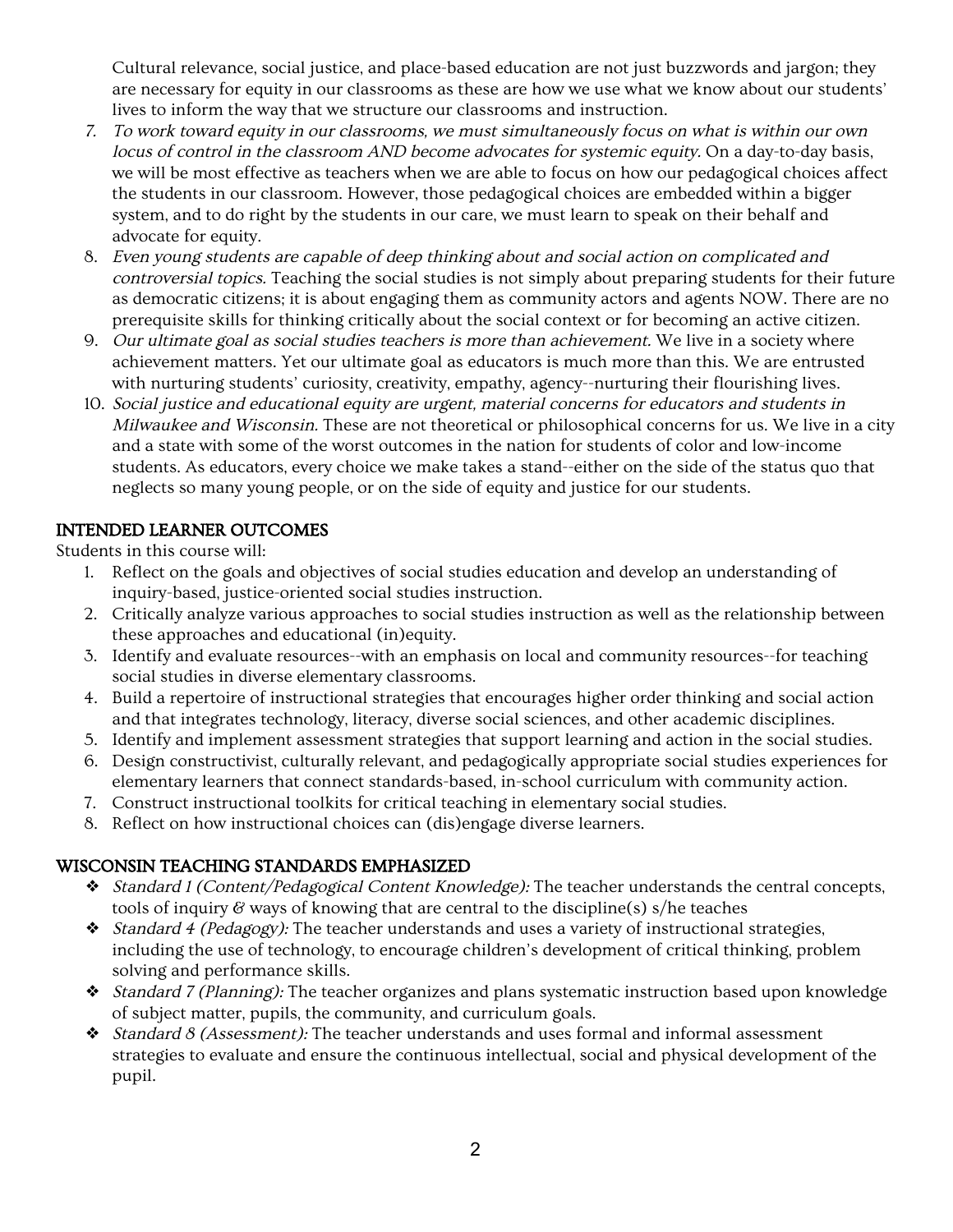Cultural relevance, social justice, and place-based education are not just buzzwords and jargon; they are necessary for equity in our classrooms as these are how we use what we know about our students' lives to inform the way that we structure our classrooms and instruction.

- 7. To work toward equity in our classrooms, we must simultaneously focus on what is within our own locus of control in the classroom AND become advocates for systemic equity. On a day-to-day basis, we will be most effective as teachers when we are able to focus on how our pedagogical choices affect the students in our classroom. However, those pedagogical choices are embedded within a bigger system, and to do right by the students in our care, we must learn to speak on their behalf and advocate for equity.
- 8. Even young students are capable of deep thinking about and social action on complicated and controversial topics. Teaching the social studies is not simply about preparing students for their future as democratic citizens; it is about engaging them as community actors and agents NOW. There are no prerequisite skills for thinking critically about the social context or for becoming an active citizen.
- 9. Our ultimate goal as social studies teachers is more than achievement. We live in a society where achievement matters. Yet our ultimate goal as educators is much more than this. We are entrusted with nurturing students' curiosity, creativity, empathy, agency--nurturing their flourishing lives.
- 10. Social justice and educational equity are urgent, material concerns for educators and students in Milwaukee and Wisconsin. These are not theoretical or philosophical concerns for us. We live in a city and a state with some of the worst outcomes in the nation for students of color and low-income students. As educators, every choice we make takes a stand--either on the side of the status quo that neglects so many young people, or on the side of equity and justice for our students.

# INTENDED LEARNER OUTCOMES

Students in this course will:

- 1. Reflect on the goals and objectives of social studies education and develop an understanding of inquiry-based, justice-oriented social studies instruction.
- 2. Critically analyze various approaches to social studies instruction as well as the relationship between these approaches and educational (in)equity.
- 3. Identify and evaluate resources--with an emphasis on local and community resources--for teaching social studies in diverse elementary classrooms.
- 4. Build a repertoire of instructional strategies that encourages higher order thinking and social action and that integrates technology, literacy, diverse social sciences, and other academic disciplines.
- 5. Identify and implement assessment strategies that support learning and action in the social studies.
- 6. Design constructivist, culturally relevant, and pedagogically appropriate social studies experiences for elementary learners that connect standards-based, in-school curriculum with community action.
- 7. Construct instructional toolkits for critical teaching in elementary social studies.
- 8. Reflect on how instructional choices can (dis)engage diverse learners.

# WISCONSIN TEACHING STANDARDS EMPHASIZED

- ❖ Standard <sup>1</sup> (Content/Pedagogical Content Knowledge): The teacher understands the central concepts, tools of inquiry  $\mathscr G$  ways of knowing that are central to the discipline(s) s/he teaches
- ❖ Standard <sup>4</sup> (Pedagogy): The teacher understands and uses a variety of instructional strategies, including the use of technology, to encourage children's development of critical thinking, problem solving and performance skills.
- ❖ Standard <sup>7</sup> (Planning): The teacher organizes and plans systematic instruction based upon knowledge of subject matter, pupils, the community, and curriculum goals.
- ❖ Standard <sup>8</sup> (Assessment): The teacher understands and uses formal and informal assessment strategies to evaluate and ensure the continuous intellectual, social and physical development of the pupil.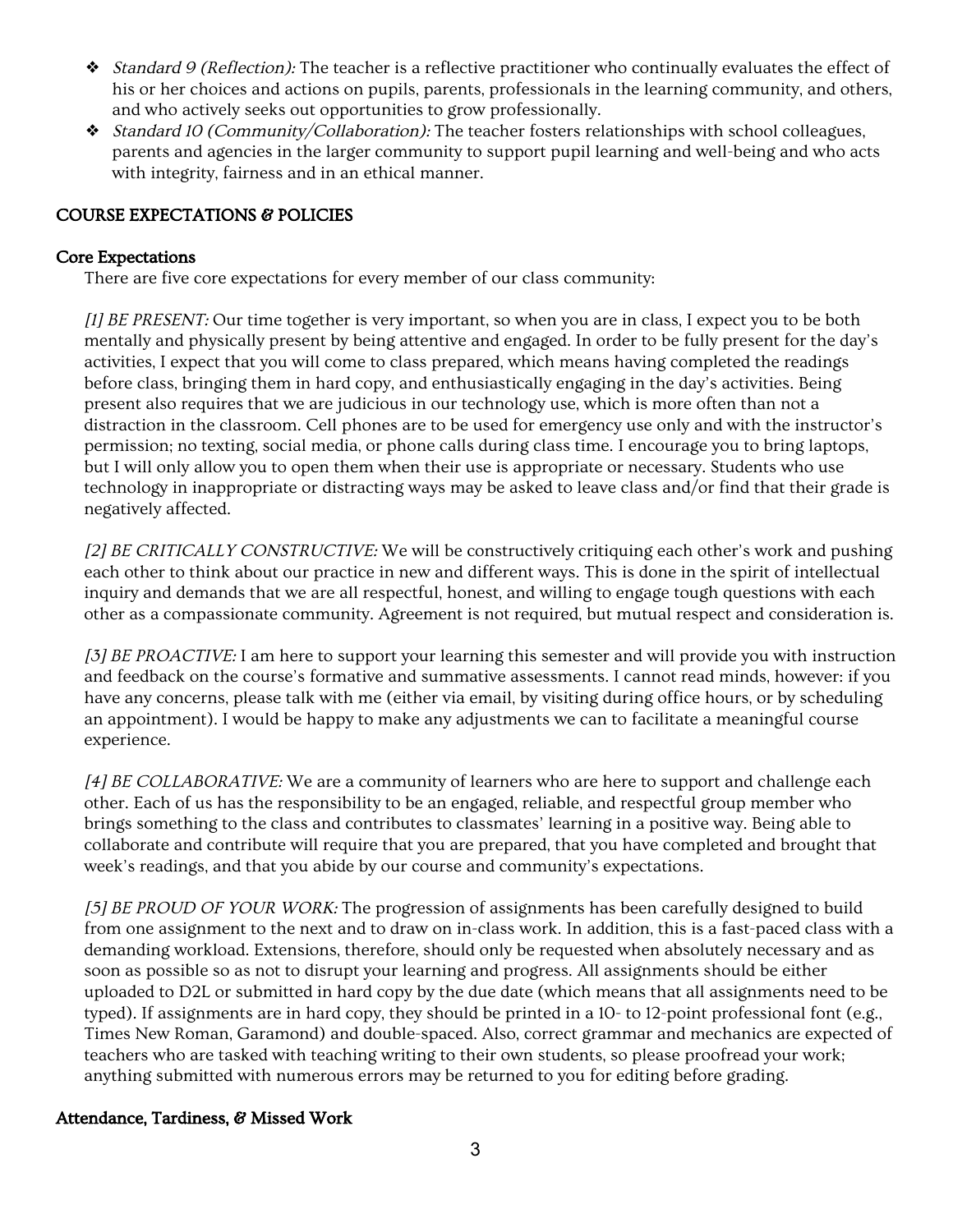- ❖ Standard <sup>9</sup> (Reflection): The teacher is a reflective practitioner who continually evaluates the effect of his or her choices and actions on pupils, parents, professionals in the learning community, and others, and who actively seeks out opportunities to grow professionally.
- ❖ Standard <sup>10</sup> (Community/Collaboration): The teacher fosters relationships with school colleagues, parents and agencies in the larger community to support pupil learning and well-being and who acts with integrity, fairness and in an ethical manner.

# COURSE EXPECTATIONS & POLICIES

#### Core Expectations

There are five core expectations for every member of our class community:

[1] BE PRESENT: Our time together is very important, so when you are in class, I expect you to be both mentally and physically present by being attentive and engaged. In order to be fully present for the day's activities, I expect that you will come to class prepared, which means having completed the readings before class, bringing them in hard copy, and enthusiastically engaging in the day's activities. Being present also requires that we are judicious in our technology use, which is more often than not a distraction in the classroom. Cell phones are to be used for emergency use only and with the instructor's permission; no texting, social media, or phone calls during class time. I encourage you to bring laptops, but I will only allow you to open them when their use is appropriate or necessary. Students who use technology in inappropriate or distracting ways may be asked to leave class and/or find that their grade is negatively affected.

[2] BE CRITICALLY CONSTRUCTIVE: We will be constructively critiquing each other's work and pushing each other to think about our practice in new and different ways. This is done in the spirit of intellectual inquiry and demands that we are all respectful, honest, and willing to engage tough questions with each other as a compassionate community. Agreement is not required, but mutual respect and consideration is.

[3] BE PROACTIVE: I am here to support your learning this semester and will provide you with instruction and feedback on the course's formative and summative assessments. I cannot read minds, however: if you have any concerns, please talk with me (either via email, by visiting during office hours, or by scheduling an appointment). I would be happy to make any adjustments we can to facilitate a meaningful course experience.

[4] BE COLLABORATIVE: We are a community of learners who are here to support and challenge each other. Each of us has the responsibility to be an engaged, reliable, and respectful group member who brings something to the class and contributes to classmates' learning in a positive way. Being able to collaborate and contribute will require that you are prepared, that you have completed and brought that week's readings, and that you abide by our course and community's expectations.

[5] BE PROUD OF YOUR WORK: The progression of assignments has been carefully designed to build from one assignment to the next and to draw on in-class work. In addition, this is a fast-paced class with a demanding workload. Extensions, therefore, should only be requested when absolutely necessary and as soon as possible so as not to disrupt your learning and progress. All assignments should be either uploaded to D2L or submitted in hard copy by the due date (which means that all assignments need to be typed). If assignments are in hard copy, they should be printed in a 10- to 12-point professional font (e.g., Times New Roman, Garamond) and double-spaced. Also, correct grammar and mechanics are expected of teachers who are tasked with teaching writing to their own students, so please proofread your work; anything submitted with numerous errors may be returned to you for editing before grading.

# Attendance, Tardiness, & Missed Work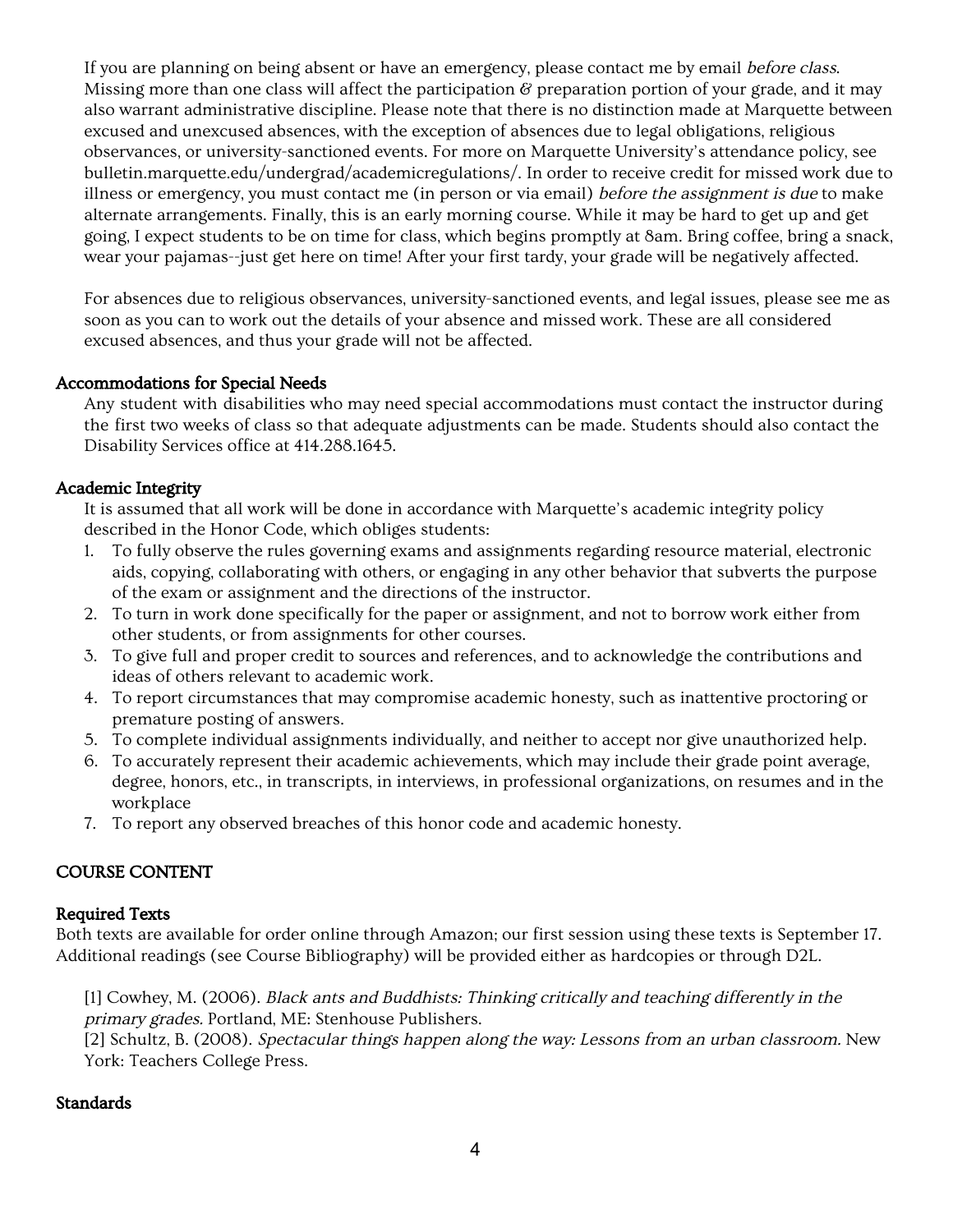If you are planning on being absent or have an emergency, please contact me by email before class. Missing more than one class will affect the participation  $\mathscr G$  preparation portion of your grade, and it may also warrant administrative discipline. Please note that there is no distinction made at Marquette between excused and unexcused absences, with the exception of absences due to legal obligations, religious observances, or university-sanctioned events. For more on Marquette University's attendance policy, see bulletin.marquette.edu/undergrad/academicregulations/. In order to receive credit for missed work due to illness or emergency, you must contact me (in person or via email) before the assignment is due to make alternate arrangements. Finally, this is an early morning course. While it may be hard to get up and get going, I expect students to be on time for class, which begins promptly at 8am. Bring coffee, bring a snack, wear your pajamas--just get here on time! After your first tardy, your grade will be negatively affected.

For absences due to religious observances, university-sanctioned events, and legal issues, please see me as soon as you can to work out the details of your absence and missed work. These are all considered excused absences, and thus your grade will not be affected.

# Accommodations for Special Needs

Any student with disabilities who may need special accommodations must contact the instructor during the first two weeks of class so that adequate adjustments can be made. Students should also contact the Disability Services office at 414.288.1645.

# Academic Integrity

It is assumed that all work will be done in accordance with Marquette's academic integrity policy described in the Honor Code, which obliges students:

- 1. To fully observe the rules governing exams and assignments regarding resource material, electronic aids, copying, collaborating with others, or engaging in any other behavior that subverts the purpose of the exam or assignment and the directions of the instructor.
- 2. To turn in work done specifically for the paper or assignment, and not to borrow work either from other students, or from assignments for other courses.
- 3. To give full and proper credit to sources and references, and to acknowledge the contributions and ideas of others relevant to academic work.
- 4. To report circumstances that may compromise academic honesty, such as inattentive proctoring or premature posting of answers.
- 5. To complete individual assignments individually, and neither to accept nor give unauthorized help.
- 6. To accurately represent their academic achievements, which may include their grade point average, degree, honors, etc., in transcripts, in interviews, in professional organizations, on resumes and in the workplace
- 7. To report any observed breaches of this honor code and academic honesty.

# COURSE CONTENT

# Required Texts

Both texts are available for order online through Amazon; our first session using these texts is September 17. Additional readings (see Course Bibliography) will be provided either as hardcopies or through D2L.

[1] Cowhey, M. (2006). Black ants and Buddhists: Thinking critically and teaching differently in the primary grades. Portland, ME: Stenhouse Publishers.

[2] Schultz, B. (2008). Spectacular things happen along the way: Lessons from an urban classroom. New York: Teachers College Press.

# **Standards**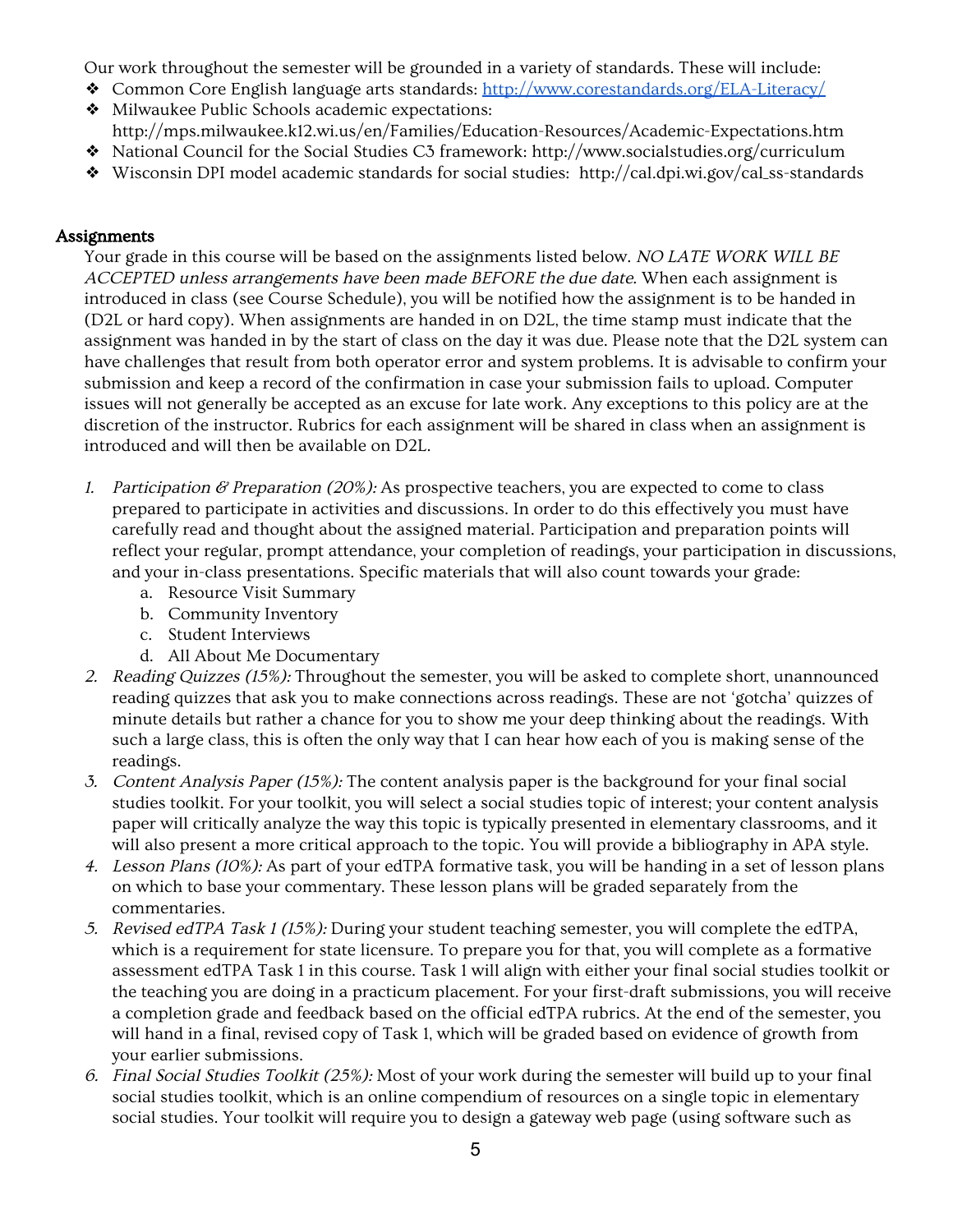Our work throughout the semester will be grounded in a variety of standards. These will include:

- ❖ Common Core English language arts standards: <http://www.corestandards.org/ELA-Literacy/>
- ❖ Milwaukee Public Schools academic expectations: http://mps.milwaukee.k12.wi.us/en/Families/Education-Resources/Academic-Expectations.htm
- ❖ National Council for the Social Studies C3 framework: http://www.socialstudies.org/curriculum
- ❖ Wisconsin DPI model academic standards for social studies: http://cal.dpi.wi.gov/cal\_ss-standards

# **Assignments**

Your grade in this course will be based on the assignments listed below. NO LATE WORK WILL BE ACCEPTED unless arrangements have been made BEFORE the due date. When each assignment is introduced in class (see Course Schedule), you will be notified how the assignment is to be handed in (D2L or hard copy). When assignments are handed in on D2L, the time stamp must indicate that the assignment was handed in by the start of class on the day it was due. Please note that the D2L system can have challenges that result from both operator error and system problems. It is advisable to confirm your submission and keep a record of the confirmation in case your submission fails to upload. Computer issues will not generally be accepted as an excuse for late work. Any exceptions to this policy are at the discretion of the instructor. Rubrics for each assignment will be shared in class when an assignment is introduced and will then be available on D2L.

- 1. Participation & Preparation (20%): As prospective teachers, you are expected to come to class prepared to participate in activities and discussions. In order to do this effectively you must have carefully read and thought about the assigned material. Participation and preparation points will reflect your regular, prompt attendance, your completion of readings, your participation in discussions, and your in-class presentations. Specific materials that will also count towards your grade:
	- a. Resource Visit Summary
	- b. Community Inventory
	- c. Student Interviews
	- d. All About Me Documentary
- 2. Reading Quizzes (15%): Throughout the semester, you will be asked to complete short, unannounced reading quizzes that ask you to make connections across readings. These are not 'gotcha' quizzes of minute details but rather a chance for you to show me your deep thinking about the readings. With such a large class, this is often the only way that I can hear how each of you is making sense of the readings.
- 3. Content Analysis Paper (15%): The content analysis paper is the background for your final social studies toolkit. For your toolkit, you will select a social studies topic of interest; your content analysis paper will critically analyze the way this topic is typically presented in elementary classrooms, and it will also present a more critical approach to the topic. You will provide a bibliography in APA style.
- 4. Lesson Plans (10%): As part of your edTPA formative task, you will be handing in a set of lesson plans on which to base your commentary. These lesson plans will be graded separately from the commentaries.
- 5. Revised edTPA Task <sup>1</sup> (15%): During your student teaching semester, you will complete the edTPA, which is a requirement for state licensure. To prepare you for that, you will complete as a formative assessment edTPA Task 1 in this course. Task 1 will align with either your final social studies toolkit or the teaching you are doing in a practicum placement. For your first-draft submissions, you will receive a completion grade and feedback based on the official edTPA rubrics. At the end of the semester, you will hand in a final, revised copy of Task 1, which will be graded based on evidence of growth from your earlier submissions.
- 6. Final Social Studies Toolkit (25%): Most of your work during the semester will build up to your final social studies toolkit, which is an online compendium of resources on a single topic in elementary social studies. Your toolkit will require you to design a gateway web page (using software such as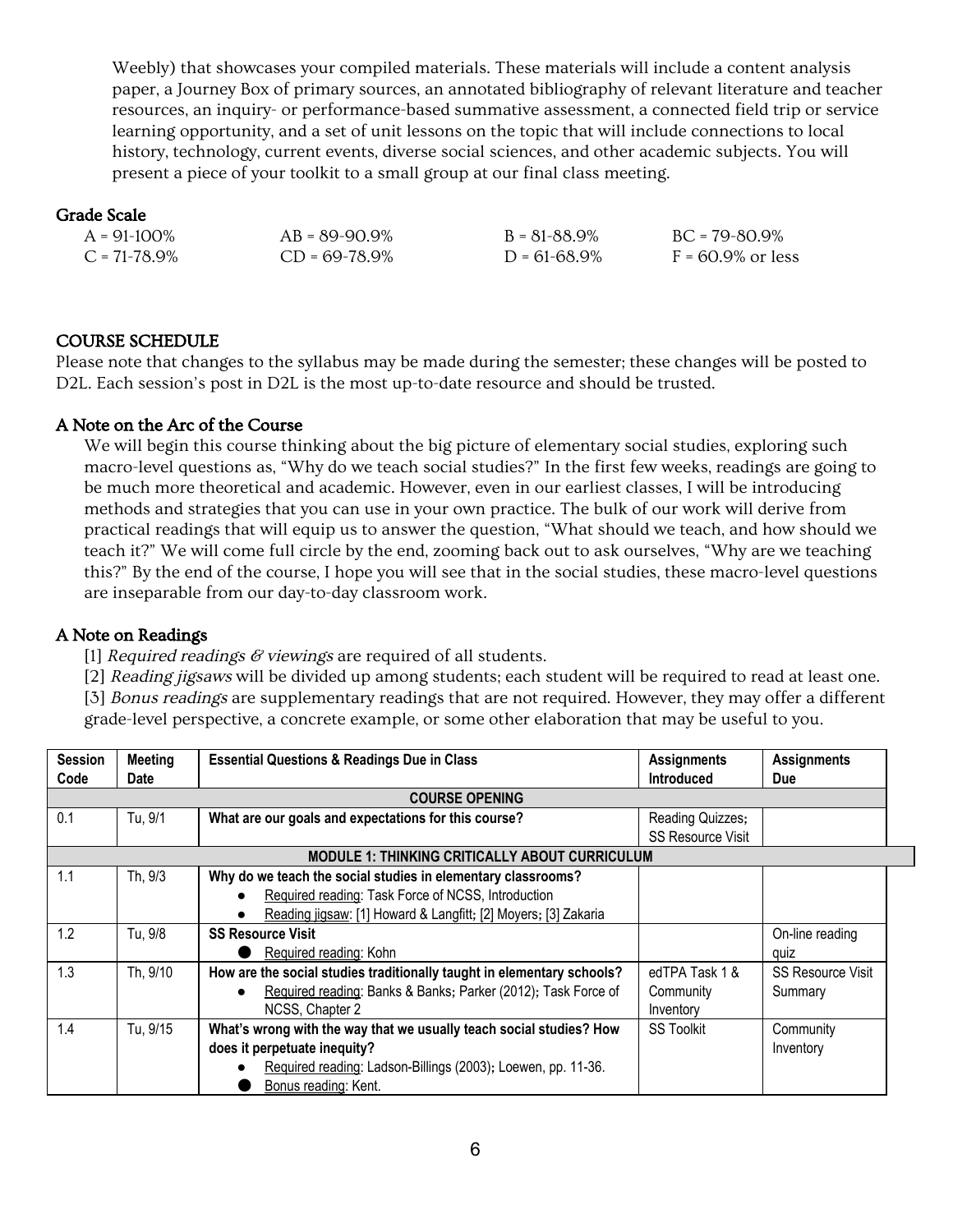Weebly) that showcases your compiled materials. These materials will include a content analysis paper, a Journey Box of primary sources, an annotated bibliography of relevant literature and teacher resources, an inquiry- or performance-based summative assessment, a connected field trip or service learning opportunity, and a set of unit lessons on the topic that will include connections to local history, technology, current events, diverse social sciences, and other academic subjects. You will present a piece of your toolkit to a small group at our final class meeting.

#### Grade Scale

| $A = 91-100\%$    | $AB = 89-90.9\%$ | $B = 81 - 88.9\%$ | $BC = 79 - 80.9\%$   |
|-------------------|------------------|-------------------|----------------------|
| $C = 71 - 78.9\%$ | $CD = 69-78.9%$  | $D = 61 - 68.9\%$ | $F = 60.9\%$ or less |

#### COURSE SCHEDULE

Please note that changes to the syllabus may be made during the semester; these changes will be posted to D2L. Each session's post in D2L is the most up-to-date resource and should be trusted.

#### A Note on the Arc of the Course

We will begin this course thinking about the big picture of elementary social studies, exploring such macro-level questions as, "Why do we teach social studies?" In the first few weeks, readings are going to be much more theoretical and academic. However, even in our earliest classes, I will be introducing methods and strategies that you can use in your own practice. The bulk of our work will derive from practical readings that will equip us to answer the question, "What should we teach, and how should we teach it?" We will come full circle by the end, zooming back out to ask ourselves, "Why are we teaching this?" By the end of the course, I hope you will see that in the social studies, these macro-level questions are inseparable from our day-to-day classroom work.

# A Note on Readings

[1] Required readings  $\mathcal C$  viewings are required of all students.

[2] Reading jigsaws will be divided up among students; each student will be required to read at least one. [3] Bonus readings are supplementary readings that are not required. However, they may offer a different grade-level perspective, a concrete example, or some other elaboration that may be useful to you.

| <b>Session</b> | Meeting                                               | <b>Essential Questions &amp; Readings Due in Class</b>                 | <b>Assignments</b>       | <b>Assignments</b>       |  |
|----------------|-------------------------------------------------------|------------------------------------------------------------------------|--------------------------|--------------------------|--|
| Code           | <b>Date</b>                                           |                                                                        | <b>Introduced</b>        | <b>Due</b>               |  |
|                |                                                       | <b>COURSE OPENING</b>                                                  |                          |                          |  |
| 0.1            | Tu, 9/1                                               | What are our goals and expectations for this course?                   | Reading Quizzes;         |                          |  |
|                |                                                       |                                                                        | <b>SS Resource Visit</b> |                          |  |
|                | <b>MODULE 1: THINKING CRITICALLY ABOUT CURRICULUM</b> |                                                                        |                          |                          |  |
| 1.1            | Th, 9/3                                               | Why do we teach the social studies in elementary classrooms?           |                          |                          |  |
|                |                                                       | Required reading: Task Force of NCSS, Introduction                     |                          |                          |  |
|                |                                                       | Reading jigsaw: [1] Howard & Langfitt; [2] Moyers; [3] Zakaria         |                          |                          |  |
| 1.2            | Tu, 9/8                                               | <b>SS Resource Visit</b>                                               |                          | On-line reading          |  |
|                |                                                       | Required reading: Kohn                                                 |                          | quiz                     |  |
| 1.3            | Th, 9/10                                              | How are the social studies traditionally taught in elementary schools? | edTPA Task 1 &           | <b>SS Resource Visit</b> |  |
|                |                                                       | Required reading: Banks & Banks; Parker (2012); Task Force of          | Community                | Summary                  |  |
|                |                                                       | NCSS, Chapter 2                                                        | Inventory                |                          |  |
| 1.4            | Tu, 9/15                                              | What's wrong with the way that we usually teach social studies? How    | <b>SS Toolkit</b>        | Community                |  |
|                |                                                       | does it perpetuate inequity?                                           |                          | Inventory                |  |
|                |                                                       | Required reading: Ladson-Billings (2003); Loewen, pp. 11-36.           |                          |                          |  |
|                |                                                       | Bonus reading: Kent.                                                   |                          |                          |  |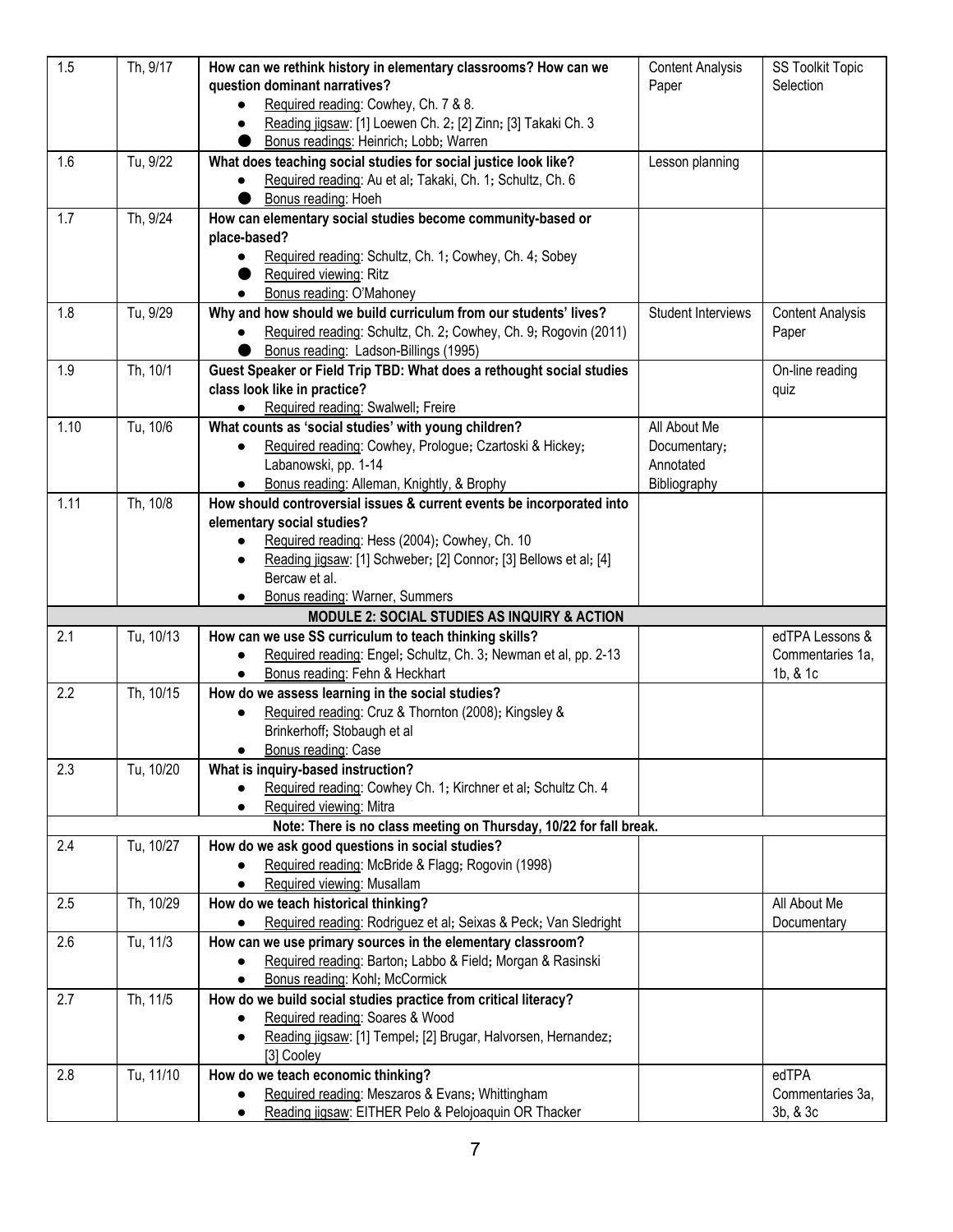| 1.5  | Th, 9/17  | How can we rethink history in elementary classrooms? How can we                                         | <b>Content Analysis</b> | <b>SS Toolkit Topic</b> |
|------|-----------|---------------------------------------------------------------------------------------------------------|-------------------------|-------------------------|
|      |           | question dominant narratives?                                                                           | Paper                   | Selection               |
|      |           | Required reading: Cowhey, Ch. 7 & 8.                                                                    |                         |                         |
|      |           | Reading jigsaw: [1] Loewen Ch. 2; [2] Zinn; [3] Takaki Ch. 3<br>$\bullet$                               |                         |                         |
|      |           | Bonus readings: Heinrich; Lobb; Warren                                                                  |                         |                         |
| 1.6  | Tu, 9/22  | What does teaching social studies for social justice look like?                                         | Lesson planning         |                         |
|      |           | Required reading: Au et al; Takaki, Ch. 1; Schultz, Ch. 6<br>$\bullet$                                  |                         |                         |
|      |           | Bonus reading: Hoeh                                                                                     |                         |                         |
| 1.7  | Th, 9/24  | How can elementary social studies become community-based or                                             |                         |                         |
|      |           | place-based?                                                                                            |                         |                         |
|      |           | Required reading: Schultz, Ch. 1; Cowhey, Ch. 4; Sobey<br>$\bullet$                                     |                         |                         |
|      |           | Required viewing: Ritz                                                                                  |                         |                         |
|      |           | Bonus reading: O'Mahoney<br>$\bullet$                                                                   |                         |                         |
| 1.8  | Tu, 9/29  | Why and how should we build curriculum from our students' lives?                                        | Student Interviews      | <b>Content Analysis</b> |
|      |           | Required reading: Schultz, Ch. 2; Cowhey, Ch. 9; Rogovin (2011)                                         |                         | Paper                   |
|      |           | Bonus reading: Ladson-Billings (1995)                                                                   |                         |                         |
| 1.9  | Th, 10/1  | Guest Speaker or Field Trip TBD: What does a rethought social studies                                   |                         | On-line reading         |
|      |           | class look like in practice?                                                                            |                         | quiz                    |
|      |           | Required reading: Swalwell; Freire                                                                      |                         |                         |
| 1.10 | Tu, 10/6  | What counts as 'social studies' with young children?                                                    | All About Me            |                         |
|      |           | Required reading: Cowhey, Prologue; Czartoski & Hickey;<br>$\bullet$                                    | Documentary;            |                         |
|      |           | Labanowski, pp. 1-14                                                                                    | Annotated               |                         |
|      |           | Bonus reading: Alleman, Knightly, & Brophy<br>$\bullet$                                                 | Bibliography            |                         |
| 1.11 | Th, 10/8  | How should controversial issues & current events be incorporated into                                   |                         |                         |
|      |           | elementary social studies?                                                                              |                         |                         |
|      |           | Required reading: Hess (2004); Cowhey, Ch. 10<br>$\bullet$                                              |                         |                         |
|      |           | Reading jigsaw: [1] Schweber; [2] Connor; [3] Bellows et al; [4]<br>$\bullet$                           |                         |                         |
|      |           | Bercaw et al.                                                                                           |                         |                         |
|      |           | Bonus reading: Warner, Summers<br>$\bullet$                                                             |                         |                         |
|      |           | <b>MODULE 2: SOCIAL STUDIES AS INQUIRY &amp; ACTION</b>                                                 |                         |                         |
| 2.1  | Tu, 10/13 | How can we use SS curriculum to teach thinking skills?                                                  |                         | edTPA Lessons &         |
|      |           | Required reading: Engel; Schultz, Ch. 3; Newman et al, pp. 2-13<br>$\bullet$                            |                         | Commentaries 1a,        |
|      |           | Bonus reading: Fehn & Heckhart<br>$\bullet$                                                             |                         | 1b, & 1c                |
| 2.2  | Th, 10/15 | How do we assess learning in the social studies?                                                        |                         |                         |
|      |           | Required reading: Cruz & Thornton (2008); Kingsley &<br>$\bullet$                                       |                         |                         |
|      |           | Brinkerhoff; Stobaugh et al                                                                             |                         |                         |
|      |           | Bonus reading: Case                                                                                     |                         |                         |
| 2.3  | Tu, 10/20 | What is inquiry-based instruction?                                                                      |                         |                         |
|      |           | Required reading: Cowhey Ch. 1; Kirchner et al; Schultz Ch. 4<br>$\bullet$                              |                         |                         |
|      |           | Required viewing: Mitra<br>$\bullet$                                                                    |                         |                         |
|      |           | Note: There is no class meeting on Thursday, 10/22 for fall break.                                      |                         |                         |
| 2.4  | Tu, 10/27 | How do we ask good questions in social studies?                                                         |                         |                         |
|      |           | Required reading: McBride & Flagg; Rogovin (1998)                                                       |                         |                         |
|      |           | Required viewing: Musallam                                                                              |                         |                         |
| 2.5  | Th, 10/29 | How do we teach historical thinking?                                                                    |                         | All About Me            |
|      |           | Required reading: Rodriguez et al; Seixas & Peck; Van Sledright                                         |                         | Documentary             |
| 2.6  | Tu, 11/3  | How can we use primary sources in the elementary classroom?                                             |                         |                         |
|      |           | Required reading: Barton; Labbo & Field; Morgan & Rasinski<br>$\bullet$                                 |                         |                         |
|      |           | Bonus reading: Kohl; McCormick<br>$\bullet$                                                             |                         |                         |
| 2.7  | Th, 11/5  | How do we build social studies practice from critical literacy?                                         |                         |                         |
|      |           | Required reading: Soares & Wood<br>$\bullet$                                                            |                         |                         |
|      |           | Reading jigsaw: [1] Tempel; [2] Brugar, Halvorsen, Hernandez;<br>$\bullet$                              |                         |                         |
|      |           | [3] Cooley                                                                                              |                         | edTPA                   |
| 2.8  | Tu, 11/10 | How do we teach economic thinking?                                                                      |                         | Commentaries 3a,        |
|      |           | Required reading: Meszaros & Evans; Whittingham<br>Reading jigsaw: EITHER Pelo & Pelojoaquin OR Thacker |                         | 3b, & 3c                |
|      |           | $\bullet$                                                                                               |                         |                         |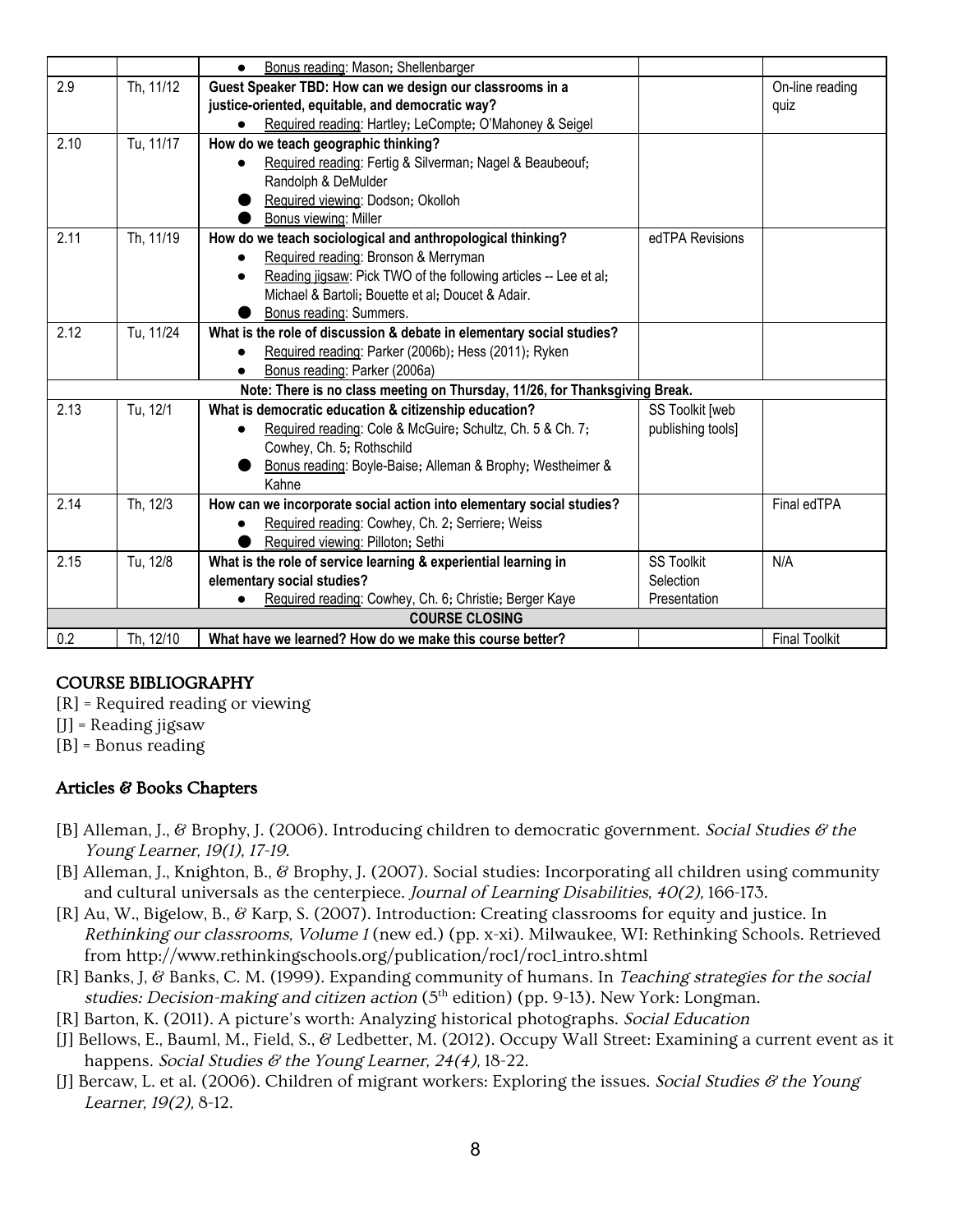|                       |           | Bonus reading: Mason; Shellenbarger<br>$\bullet$                                        |                   |                      |
|-----------------------|-----------|-----------------------------------------------------------------------------------------|-------------------|----------------------|
| 2.9                   | Th, 11/12 | Guest Speaker TBD: How can we design our classrooms in a                                |                   | On-line reading      |
|                       |           | justice-oriented, equitable, and democratic way?                                        |                   | quiz                 |
|                       |           | Required reading: Hartley; LeCompte; O'Mahoney & Seigel                                 |                   |                      |
| 2.10                  | Tu, 11/17 | How do we teach geographic thinking?                                                    |                   |                      |
|                       |           | Required reading: Fertig & Silverman; Nagel & Beaubeouf;                                |                   |                      |
|                       |           | Randolph & DeMulder                                                                     |                   |                      |
|                       |           | Required viewing: Dodson; Okolloh                                                       |                   |                      |
|                       |           | Bonus viewing: Miller                                                                   |                   |                      |
| 2.11                  | Th, 11/19 | How do we teach sociological and anthropological thinking?                              | edTPA Revisions   |                      |
|                       |           | Required reading: Bronson & Merryman                                                    |                   |                      |
|                       |           | Reading jigsaw: Pick TWO of the following articles -- Lee et al;<br>$\bullet$           |                   |                      |
|                       |           | Michael & Bartoli; Bouette et al; Doucet & Adair.                                       |                   |                      |
|                       |           | Bonus reading: Summers.                                                                 |                   |                      |
| 2.12                  | Tu, 11/24 | What is the role of discussion & debate in elementary social studies?                   |                   |                      |
|                       |           | Required reading: Parker (2006b); Hess (2011); Ryken                                    |                   |                      |
|                       |           | Bonus reading: Parker (2006a)<br>$\bullet$                                              |                   |                      |
|                       |           | Note: There is no class meeting on Thursday, 11/26, for Thanksgiving Break.             |                   |                      |
| 2.13                  | Tu, 12/1  | What is democratic education & citizenship education?                                   | SS Toolkit [web   |                      |
|                       |           | Required reading: Cole & McGuire; Schultz, Ch. 5 & Ch. 7;<br>$\bullet$                  | publishing tools] |                      |
|                       |           | Cowhey, Ch. 5; Rothschild<br>Bonus reading: Boyle-Baise; Alleman & Brophy; Westheimer & |                   |                      |
|                       |           | Kahne                                                                                   |                   |                      |
| 2.14                  | Th, 12/3  | How can we incorporate social action into elementary social studies?                    |                   | Final edTPA          |
|                       |           | Required reading: Cowhey, Ch. 2; Serriere; Weiss                                        |                   |                      |
|                       |           | Required viewing: Pilloton; Sethi                                                       |                   |                      |
| 2.15                  | Tu, 12/8  | What is the role of service learning & experiential learning in                         | <b>SS Toolkit</b> | N/A                  |
|                       |           | elementary social studies?                                                              | Selection         |                      |
|                       |           | Required reading: Cowhey, Ch. 6; Christie; Berger Kaye                                  | Presentation      |                      |
| <b>COURSE CLOSING</b> |           |                                                                                         |                   |                      |
| 0.2                   | Th, 12/10 | What have we learned? How do we make this course better?                                |                   | <b>Final Toolkit</b> |

# COURSE BIBLIOGRAPHY

- [R] = Required reading or viewing
- [J] = Reading jigsaw
- [B] = Bonus reading

# Articles & Books Chapters

- [B] Alleman, J., & Brophy, J. (2006). Introducing children to democratic government. Social Studies  $\mathscr E$  the Young Learner, 19(1), 17-19.
- [B] Alleman, J., Knighton, B., & Brophy, J. (2007). Social studies: Incorporating all children using community and cultural universals as the centerpiece. Journal of Learning Disabilities, 40(2), 166-173.
- [R] Au, W., Bigelow, B., & Karp, S. (2007). Introduction: Creating classrooms for equity and justice. In Rethinking our classrooms, Volume 1 (new ed.) (pp. x-xi). Milwaukee, WI: Rethinking Schools. Retrieved from http://www.rethinkingschools.org/publication/roc1/roc1\_intro.shtml
- [R] Banks, J, & Banks, C. M. (1999). Expanding community of humans. In Teaching strategies for the social studies: Decision-making and citizen action (5<sup>th</sup> edition) (pp. 9-13). New York: Longman.
- [R] Barton, K. (2011). A picture's worth: Analyzing historical photographs. Social Education
- [J] Bellows, E., Bauml, M., Field, S., & Ledbetter, M. (2012). Occupy Wall Street: Examining a current event as it happens. Social Studies & the Young Learner, 24(4), 18-22.
- [J] Bercaw, L. et al. (2006). Children of migrant workers: Exploring the issues. Social Studies & the Young Learner, 19(2), 8-12.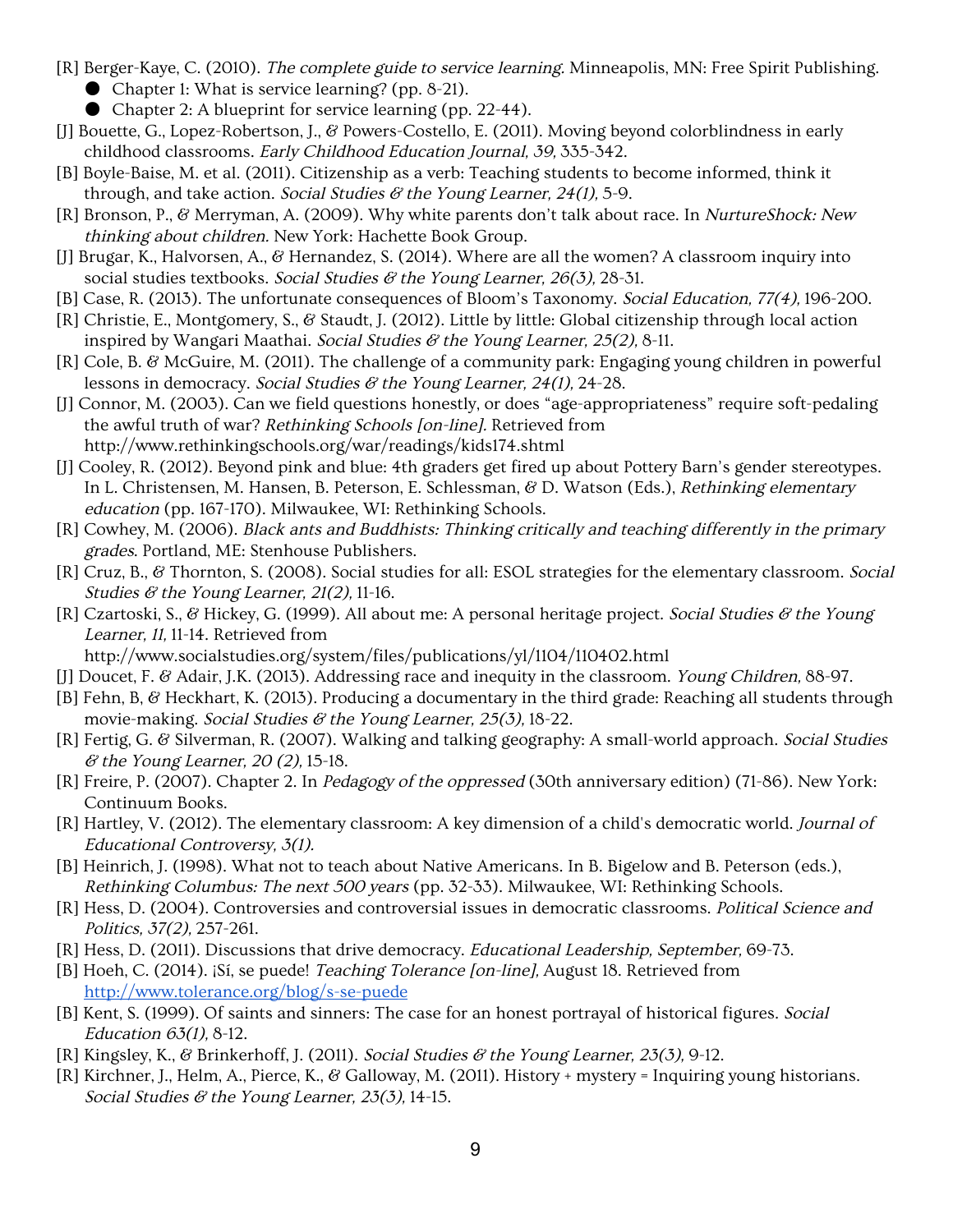- [R] Berger-Kaye, C. (2010). The complete guide to service learning. Minneapolis, MN: Free Spirit Publishing. ● Chapter 1: What is service learning? (pp. 8-21).
	- Chapter 2: A blueprint for service learning (pp. 22-44).
- [J] Bouette, G., Lopez-Robertson, J., & Powers-Costello, E. (2011). Moving beyond colorblindness in early childhood classrooms. Early Childhood Education Journal, 39, 335-342.
- [B] Boyle-Baise, M. et al. (2011). Citizenship as a verb: Teaching students to become informed, think it through, and take action. Social Studies  $\mathscr G$  the Young Learner, 24(1), 5-9.
- [R] Bronson, P., & Merryman, A. (2009). Why white parents don't talk about race. In NurtureShock: New thinking about children. New York: Hachette Book Group.
- [J] Brugar, K., Halvorsen, A., & Hernandez, S. (2014). Where are all the women? A classroom inquiry into social studies textbooks. Social Studies  $\mathscr G$  the Young Learner, 26(3), 28-31.
- [B] Case, R. (2013). The unfortunate consequences of Bloom's Taxonomy. Social Education, 77(4), 196-200.
- [R] Christie, E., Montgomery, S., & Staudt, J. (2012). Little by little: Global citizenship through local action inspired by Wangari Maathai. Social Studies  $\mathscr G$  the Young Learner, 25(2), 8-11.
- [R] Cole, B. & McGuire, M. (2011). The challenge of a community park: Engaging young children in powerful lessons in democracy. Social Studies & the Young Learner, 24(1), 24-28.
- [J] Connor, M. (2003). Can we field questions honestly, or does "age-appropriateness" require soft-pedaling the awful truth of war? Rethinking Schools [on-line]. Retrieved from http://www.rethinkingschools.org/war/readings/kids174.shtml
- [J] Cooley, R. (2012). Beyond pink and blue: 4th graders get fired up about Pottery Barn's gender stereotypes. In L. Christensen, M. Hansen, B. Peterson, E. Schlessman, & D. Watson (Eds.), Rethinking elementary education (pp. 167-170). Milwaukee, WI: Rethinking Schools.
- [R] Cowhey, M. (2006). Black ants and Buddhists: Thinking critically and teaching differently in the primary grades. Portland, ME: Stenhouse Publishers.
- [R] Cruz, B., & Thornton, S. (2008). Social studies for all: ESOL strategies for the elementary classroom. Social Studies  $\mathcal G$  the Young Learner, 21(2), 11-16.
- [R] Czartoski, S., & Hickey, G. (1999). All about me: A personal heritage project. Social Studies & the Young Learner, 11, 11-14. Retrieved from
	- http://www.socialstudies.org/system/files/publications/yl/1104/110402.html
- [J] Doucet, F. & Adair, J.K. (2013). Addressing race and inequity in the classroom. Young Children, 88-97.
- [B] Fehn, B, & Heckhart, K. (2013). Producing a documentary in the third grade: Reaching all students through movie-making. Social Studies  $\mathcal C$  the Young Learner, 25(3), 18-22.
- [R] Fertig, G. & Silverman, R. (2007). Walking and talking geography: A small-world approach. Social Studies  $\mathscr$  the Young Learner, 20 (2), 15-18.
- [R] Freire, P. (2007). Chapter 2. In Pedagogy of the oppressed (30th anniversary edition) (71-86). New York: Continuum Books.
- [R] Hartley, V. (2012). The elementary classroom: A key dimension of a child's democratic world. Journal of Educational Controversy, 3(1).
- [B] Heinrich, J. (1998). What not to teach about Native Americans. In B. Bigelow and B. Peterson (eds.), Rethinking Columbus: The next <sup>500</sup> years (pp. 32-33). Milwaukee, WI: Rethinking Schools.
- [R] Hess, D. (2004). Controversies and controversial issues in democratic classrooms. Political Science and Politics, 37(2), 257-261.
- [R] Hess, D. (2011). Discussions that drive democracy. Educational Leadership, September, 69-73.
- [B] Hoeh, C. (2014). ¡Sí, se puede! *Teaching Tolerance [on-line]*, August 18. Retrieved from <http://www.tolerance.org/blog/s-se-puede>
- [B] Kent, S. (1999). Of saints and sinners: The case for an honest portrayal of historical figures. Social Education 63(1), 8-12.
- [R] Kingsley, K., & Brinkerhoff, J. (2011). Social Studies & the Young Learner, 23(3), 9-12.
- [R] Kirchner, J., Helm, A., Pierce, K., & Galloway, M. (2011). History + mystery = Inquiring young historians. Social Studies  $\mathcal C$  the Young Learner, 23(3), 14-15.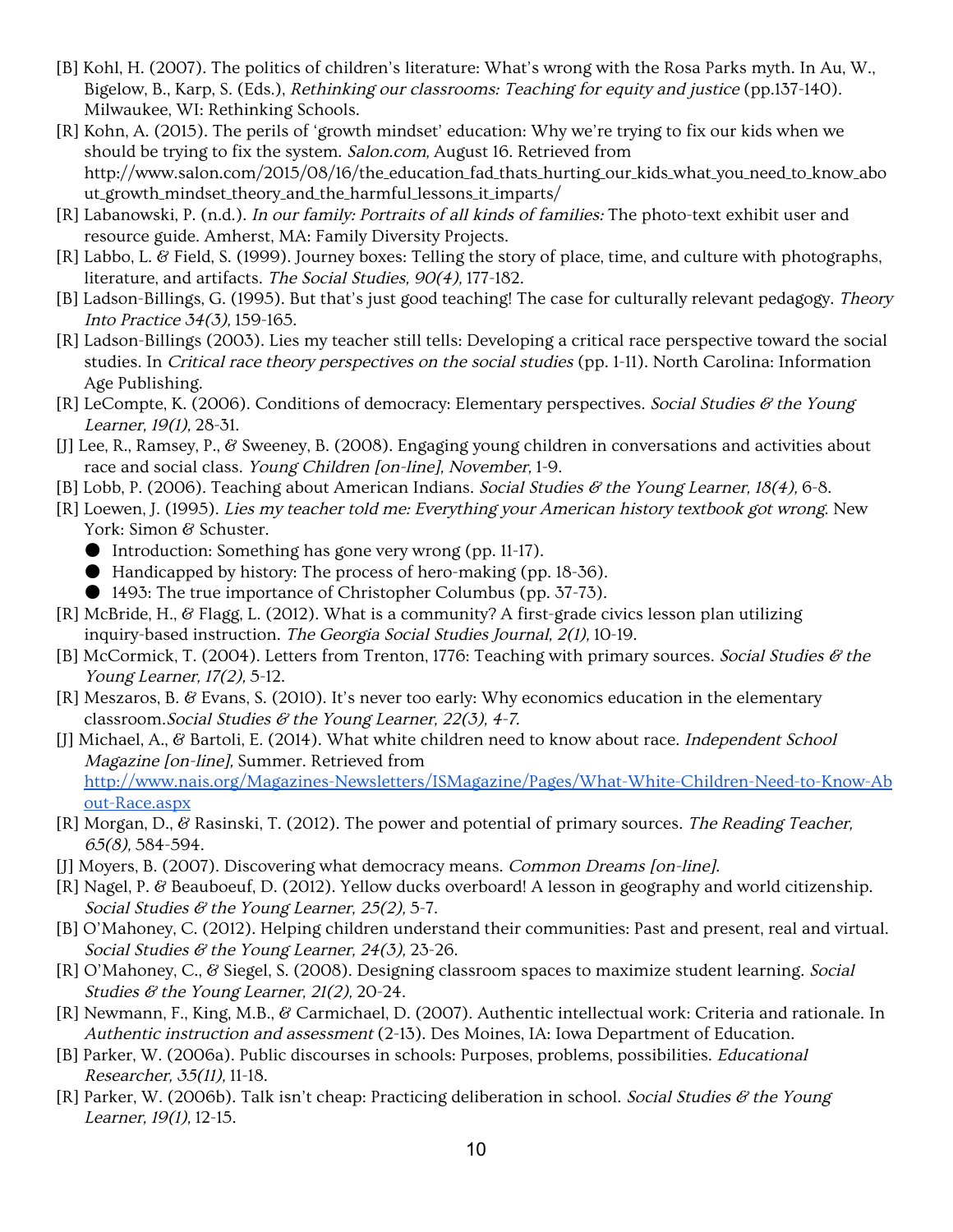- [B] Kohl, H. (2007). The politics of children's literature: What's wrong with the Rosa Parks myth. In Au, W., Bigelow, B., Karp, S. (Eds.), Rethinking our classrooms: Teaching for equity and justice (pp.137-140). Milwaukee, WI: Rethinking Schools.
- [R] Kohn, A. (2015). The perils of 'growth mindset' education: Why we're trying to fix our kids when we should be trying to fix the system. Salon.com, August 16. Retrieved from http://www.salon.com/2015/08/16/the\_education\_fad\_thats\_hurting\_our\_kids\_what\_you\_need\_to\_know\_abo ut\_growth\_mindset\_theory\_and\_the\_harmful\_lessons\_it\_imparts/
- [R] Labanowski, P. (n.d.). In our family: Portraits of all kinds of families: The photo-text exhibit user and resource guide. Amherst, MA: Family Diversity Projects.
- [R] Labbo, L. & Field, S. (1999). Journey boxes: Telling the story of place, time, and culture with photographs, literature, and artifacts. The Social Studies, 90(4), 177-182.
- [B] Ladson-Billings, G. (1995). But that's just good teaching! The case for culturally relevant pedagogy. Theory Into Practice 34(3), 159-165.
- [R] Ladson-Billings (2003). Lies my teacher still tells: Developing a critical race perspective toward the social studies. In Critical race theory perspectives on the social studies (pp. 1-11). North Carolina: Information Age Publishing.
- $[R]$  LeCompte, K. (2006). Conditions of democracy: Elementary perspectives. Social Studies & the Young Learner, 19(1), 28-31.
- [J] Lee, R., Ramsey, P., & Sweeney, B. (2008). Engaging young children in conversations and activities about race and social class. Young Children [on-line], November, 1-9.
- [B] Lobb, P. (2006). Teaching about American Indians. Social Studies & the Young Learner, 18(4), 6-8.
- [R] Loewen, J. (1995). Lies my teacher told me: Everything your American history textbook got wrong. New York: Simon & Schuster.
	- Introduction: Something has gone very wrong (pp. 11-17).
	- Handicapped by history: The process of hero-making (pp. 18-36).
	- 1493: The true importance of Christopher Columbus (pp. 37-73).
- [R] McBride, H., & Flagg, L. (2012). What is a community? A first-grade civics lesson plan utilizing inquiry-based instruction. The Georgia Social Studies Journal, 2(1), 10-19.
- [B] McCormick, T. (2004). Letters from Trenton, 1776: Teaching with primary sources. Social Studies  $\mathscr{C}$  the Young Learner, 17(2), 5-12.
- [R] Meszaros, B. & Evans, S. (2010). It's never too early: Why economics education in the elementary classroom. Social Studies  $\mathcal C$  the Young Learner, 22(3), 4-7.
- [J] Michael, A., & Bartoli, E. (2014). What white children need to know about race. Independent School Magazine [on-line], Summer. Retrieved from [http://www.nais.org/Magazines-Newsletters/ISMagazine/Pages/What-White-Children-Need-to-Know-Ab](http://www.nais.org/Magazines-Newsletters/ISMagazine/Pages/What-White-Children-Need-to-Know-About-Race.aspx) [out-Race.aspx](http://www.nais.org/Magazines-Newsletters/ISMagazine/Pages/What-White-Children-Need-to-Know-About-Race.aspx)
- [R] Morgan, D., & Rasinski, T. (2012). The power and potential of primary sources. The Reading Teacher, 65(8), 584-594.
- [J] Moyers, B. (2007). Discovering what democracy means. Common Dreams [on-line].
- [R] Nagel, P. & Beauboeuf, D. (2012). Yellow ducks overboard! A lesson in geography and world citizenship. Social Studies  $\mathcal G$  the Young Learner, 25(2), 5-7.
- [B] O'Mahoney, C. (2012). Helping children understand their communities: Past and present, real and virtual. Social Studies  $\mathcal C$  the Young Learner, 24(3), 23-26.
- [R] O'Mahoney, C., & Siegel, S. (2008). Designing classroom spaces to maximize student learning. Social Studies  $\mathcal G$  the Young Learner, 21(2), 20-24.
- [R] Newmann, F., King, M.B., & Carmichael, D. (2007). Authentic intellectual work: Criteria and rationale. In Authentic instruction and assessment (2-13). Des Moines, IA: Iowa Department of Education.
- [B] Parker, W. (2006a). Public discourses in schools: Purposes, problems, possibilities. Educational Researcher, 35(11), 11-18.
- [R] Parker, W. (2006b). Talk isn't cheap: Practicing deliberation in school. Social Studies  $\mathscr G$  the Young Learner, 19(1), 12-15.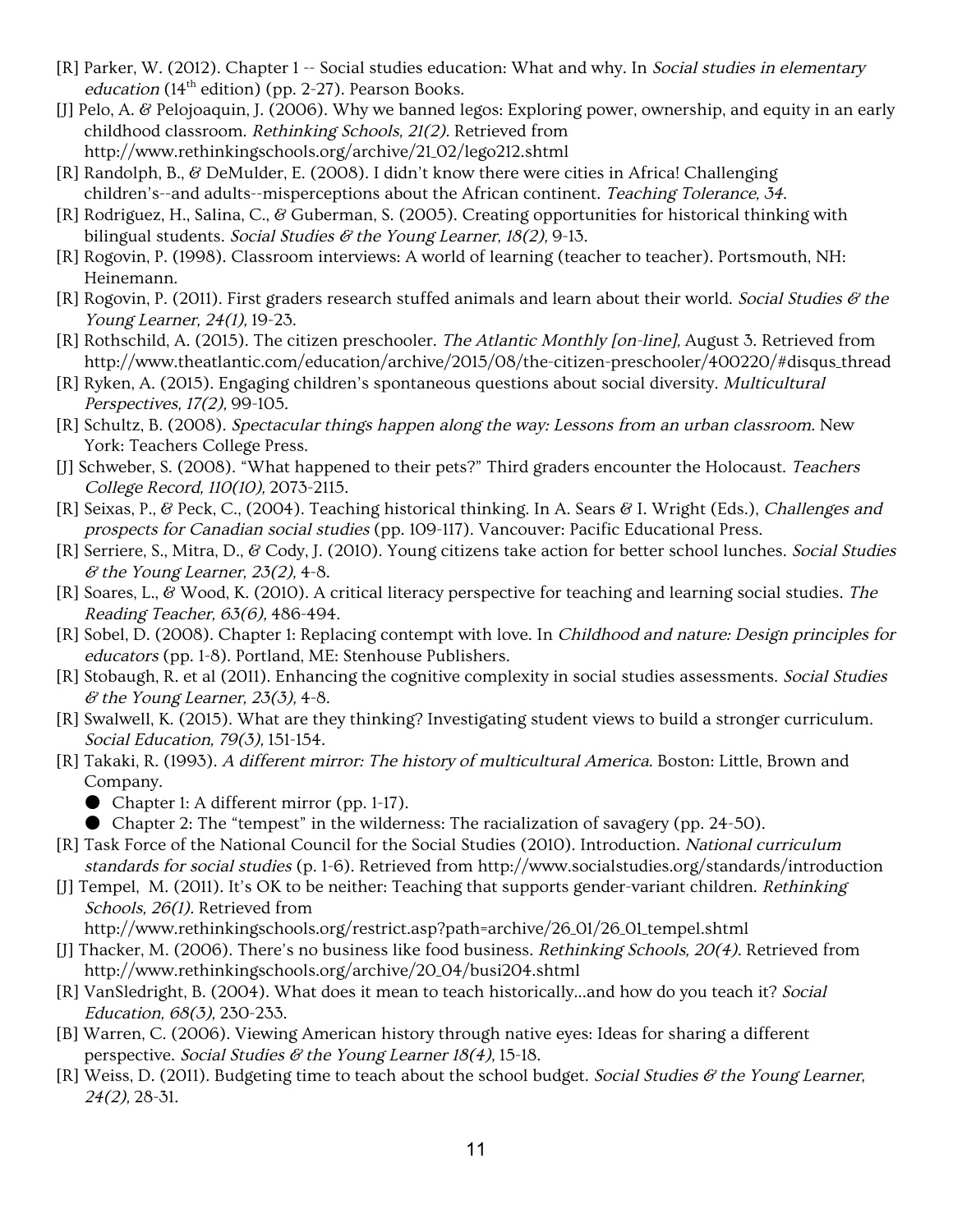- [R] Parker, W. (2012). Chapter 1 -- Social studies education: What and why. In Social studies in elementary education (14<sup>th</sup> edition) (pp. 2-27). Pearson Books.
- [J] Pelo, A. & Pelojoaquin, J. (2006). Why we banned legos: Exploring power, ownership, and equity in an early childhood classroom. Rethinking Schools, 21(2). Retrieved from http://www.rethinkingschools.org/archive/21\_02/lego212.shtml
- [R] Randolph, B., & DeMulder, E. (2008). I didn't know there were cities in Africa! Challenging children's--and adults--misperceptions about the African continent. Teaching Tolerance, 34.
- [R] Rodriguez, H., Salina, C., & Guberman, S. (2005). Creating opportunities for historical thinking with bilingual students. Social Studies  $\mathcal C$  the Young Learner, 18(2), 9-13.
- [R] Rogovin, P. (1998). Classroom interviews: A world of learning (teacher to teacher). Portsmouth, NH: Heinemann.
- [R] Rogovin, P. (2011). First graders research stuffed animals and learn about their world. Social Studies  $\mathscr G$  the Young Learner, 24(1), 19-23.
- [R] Rothschild, A. (2015). The citizen preschooler. The Atlantic Monthly [on-line], August 3. Retrieved from http://www.theatlantic.com/education/archive/2015/08/the-citizen-preschooler/400220/#disqus\_thread
- [R] Ryken, A. (2015). Engaging children's spontaneous questions about social diversity. Multicultural Perspectives, 17(2), 99-105.
- [R] Schultz, B. (2008). Spectacular things happen along the way: Lessons from an urban classroom. New York: Teachers College Press.
- [J] Schweber, S. (2008). "What happened to their pets?" Third graders encounter the Holocaust. Teachers College Record, 110(10), 2073-2115.
- [R] Seixas, P., & Peck, C., (2004). Teaching historical thinking. In A. Sears & I. Wright (Eds.), Challenges and prospects for Canadian social studies (pp. 109-117). Vancouver: Pacific Educational Press.
- [R] Serriere, S., Mitra, D., & Cody, J. (2010). Young citizens take action for better school lunches. Social Studies  $\mathscr$  the Young Learner, 23(2), 4-8.
- [R] Soares, L., & Wood, K. (2010). A critical literacy perspective for teaching and learning social studies. The Reading Teacher, 63(6), 486-494.
- [R] Sobel, D. (2008). Chapter 1: Replacing contempt with love. In Childhood and nature: Design principles for educators (pp. 1-8). Portland, ME: Stenhouse Publishers.
- [R] Stobaugh, R. et al (2011). Enhancing the cognitive complexity in social studies assessments. Social Studies  $\mathscr$  the Young Learner, 23(3), 4-8.
- [R] Swalwell, K. (2015). What are they thinking? Investigating student views to build a stronger curriculum. Social Education, 79(3), 151-154.
- [R] Takaki, R. (1993). A different mirror: The history of multicultural America. Boston: Little, Brown and Company.
	- Chapter 1: A different mirror (pp. 1-17).
	- Chapter 2: The "tempest" in the wilderness: The racialization of savagery (pp. 24-50).
- [R] Task Force of the National Council for the Social Studies (2010). Introduction. National curriculum standards for social studies (p. 1-6). Retrieved from http://www.socialstudies.org/standards/introduction
- [J] Tempel, M. (2011). It's OK to be neither: Teaching that supports gender-variant children. Rethinking Schools, 26(1). Retrieved from

http://www.rethinkingschools.org/restrict.asp?path=archive/26\_01/26\_01\_tempel.shtml

- [J] Thacker, M. (2006). There's no business like food business. Rethinking Schools, 20(4). Retrieved from http://www.rethinkingschools.org/archive/20\_04/busi204.shtml
- [R] VanSledright, B. (2004). What does it mean to teach historically...and how do you teach it? Social Education, 68(3), 230-233.
- [B] Warren, C. (2006). Viewing American history through native eyes: Ideas for sharing a different perspective. Social Studies & the Young Learner  $18(4)$ , 15-18.
- [R] Weiss, D. (2011). Budgeting time to teach about the school budget. Social Studies  $\mathscr E$  the Young Learner, 24(2), 28-31.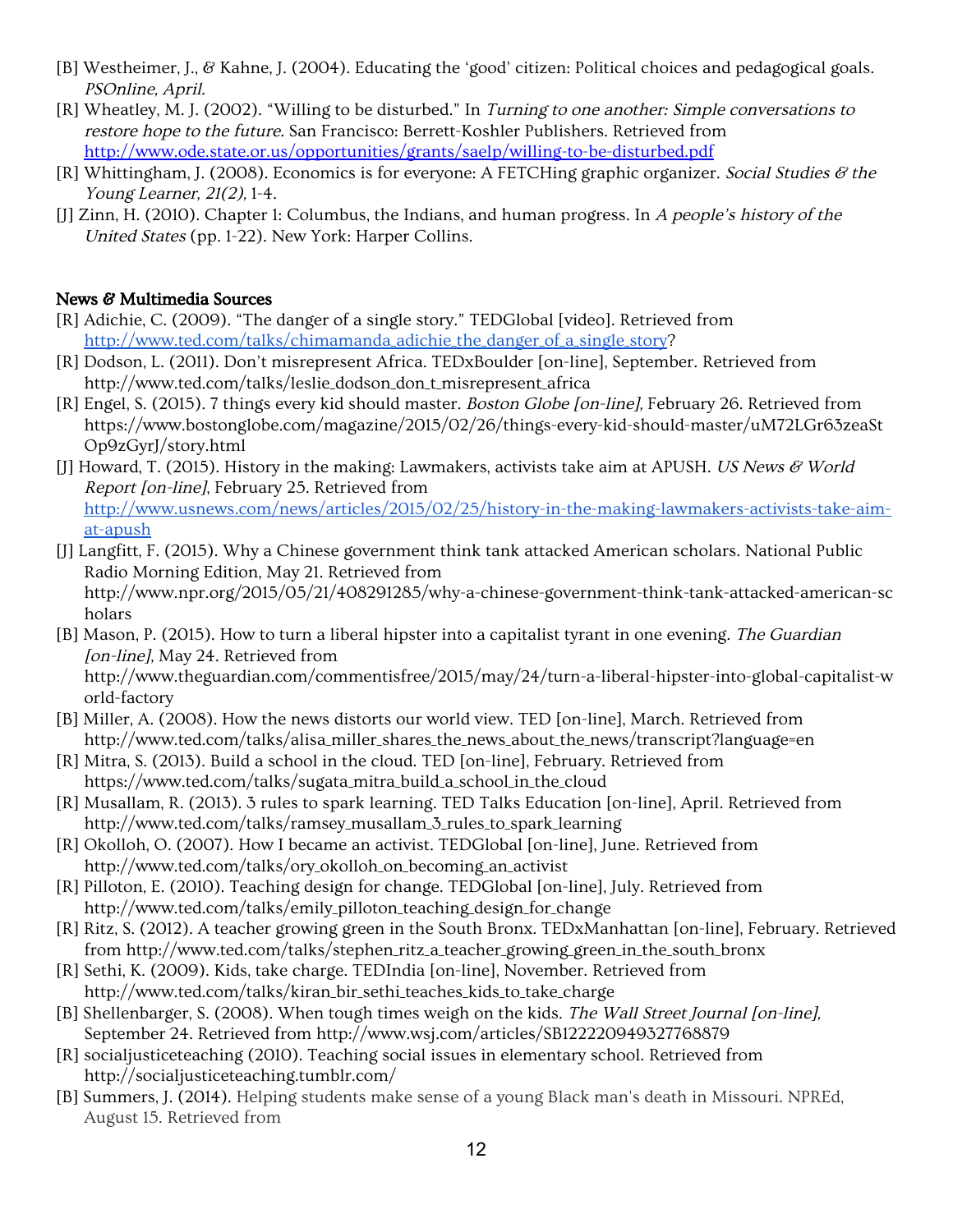- [B] Westheimer, J., & Kahne, J. (2004). Educating the 'good' citizen: Political choices and pedagogical goals. PSOnline, April.
- [R] Wheatley, M. J. (2002). "Willing to be disturbed." In Turning to one another: Simple conversations to restore hope to the future. San Francisco: Berrett-Koshler Publishers. Retrieved from <http://www.ode.state.or.us/opportunities/grants/saelp/willing-to-be-disturbed.pdf>
- [R] Whittingham, J. (2008). Economics is for everyone: A FETCHing graphic organizer. Social Studies  $\mathscr G$  the Young Learner, 21(2), 1-4.
- [J] Zinn, H. (2010). Chapter 1: Columbus, the Indians, and human progress. In <sup>A</sup> people's history of the United States (pp. 1-22). New York: Harper Collins.

# News & Multimedia Sources

- [R] Adichie, C. (2009). "The danger of a single story." TEDGlobal [video]. Retrieved from [http://www.ted.com/talks/chimamanda\\_adichie\\_the\\_danger\\_of\\_a\\_single\\_story?](http://www.ted.com/talks/chimamanda_adichie_the_danger_of_a_single_story)
- [R] Dodson, L. (2011). Don't misrepresent Africa. TEDxBoulder [on-line], September. Retrieved from http://www.ted.com/talks/leslie\_dodson\_don\_t\_misrepresent\_africa
- [R] Engel, S. (2015). 7 things every kid should master. Boston Globe [on-line], February 26. Retrieved from https://www.bostonglobe.com/magazine/2015/02/26/things-every-kid-should-master/uM72LGr63zeaSt Op9zGyrJ/story.html
- [J] Howard, T. (2015). History in the making: Lawmakers, activists take aim at APUSH. US News & World Report [on-line], February 25. Retrieved from [http://www.usnews.com/news/articles/2015/02/25/history-in-the-making-lawmakers-activists-take-aim](http://www.usnews.com/news/articles/2015/02/25/history-in-the-making-lawmakers-activists-take-aim-at-apush)[at-apush](http://www.usnews.com/news/articles/2015/02/25/history-in-the-making-lawmakers-activists-take-aim-at-apush)
- [J] Langfitt, F. (2015). Why a Chinese government think tank attacked American scholars. National Public Radio Morning Edition, May 21. Retrieved from http://www.npr.org/2015/05/21/408291285/why-a-chinese-government-think-tank-attacked-american-sc holars
- [B] Mason, P. (2015). How to turn a liberal hipster into a capitalist tyrant in one evening. The Guardian [on-line], May 24. Retrieved from http://www.theguardian.com/commentisfree/2015/may/24/turn-a-liberal-hipster-into-global-capitalist-w orld-factory
- [B] Miller, A. (2008). How the news distorts our world view. TED [on-line], March. Retrieved from http://www.ted.com/talks/alisa\_miller\_shares\_the\_news\_about\_the\_news/transcript?language=en
- [R] Mitra, S. (2013). Build a school in the cloud. TED [on-line], February. Retrieved from https://www.ted.com/talks/sugata\_mitra\_build\_a\_school\_in\_the\_cloud
- [R] Musallam, R. (2013). 3 rules to spark learning. TED Talks Education [on-line], April. Retrieved from http://www.ted.com/talks/ramsey\_musallam\_3\_rules\_to\_spark\_learning
- [R] Okolloh, O. (2007). How I became an activist. TEDGlobal [on-line], June. Retrieved from http://www.ted.com/talks/ory\_okolloh\_on\_becoming\_an\_activist
- [R] Pilloton, E. (2010). Teaching design for change. TEDGlobal [on-line], July. Retrieved from http://www.ted.com/talks/emily\_pilloton\_teaching\_design\_for\_change
- [R] Ritz, S. (2012). A teacher growing green in the South Bronx. TEDxManhattan [on-line], February. Retrieved from http://www.ted.com/talks/stephen\_ritz\_a\_teacher\_growing\_green\_in\_the\_south\_bronx
- [R] Sethi, K. (2009). Kids, take charge. TEDIndia [on-line], November. Retrieved from http://www.ted.com/talks/kiran\_bir\_sethi\_teaches\_kids\_to\_take\_charge
- [B] Shellenbarger, S. (2008). When tough times weigh on the kids. The Wall Street Journal [on-line], September 24. Retrieved from http://www.wsj.com/articles/SB122220949327768879
- [R] socialjusticeteaching (2010). Teaching social issues in elementary school. Retrieved from http://socialjusticeteaching.tumblr.com/
- [B] Summers, J. (2014). Helping students make sense of a young Black man's death in Missouri. NPREd, August 15. Retrieved from